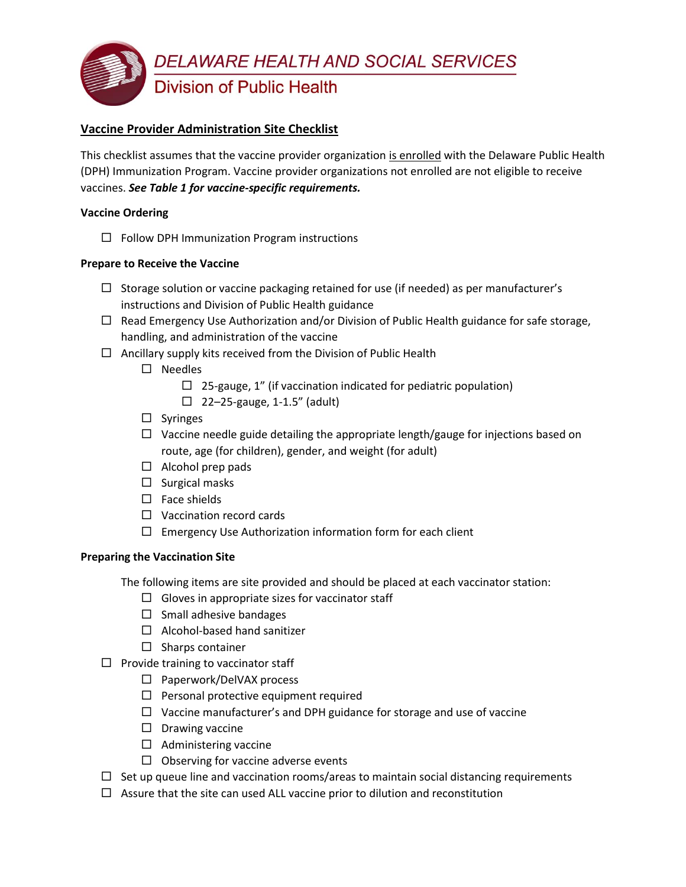

### **Vaccine Provider Administration Site Checklist**

This checklist assumes that the vaccine provider organization is enrolled with the Delaware Public Health (DPH) Immunization Program. Vaccine provider organizations not enrolled are not eligible to receive vaccines. *See Table 1 for vaccine-specific requirements.*

#### **Vaccine Ordering**

 $\Box$  Follow DPH Immunization Program instructions

#### **Prepare to Receive the Vaccine**

- $\Box$  Storage solution or vaccine packaging retained for use (if needed) as per manufacturer's instructions and Division of Public Health guidance
- $\Box$  Read Emergency Use Authorization and/or Division of Public Health guidance for safe storage, handling, and administration of the vaccine
- $\Box$  Ancillary supply kits received from the Division of Public Health
	- $\square$  Needles
		- $\Box$  25-gauge, 1" (if vaccination indicated for pediatric population)
		- $\Box$  22–25-gauge, 1-1.5" (adult)
	- $\square$  Syringes
	- $\Box$  Vaccine needle guide detailing the appropriate length/gauge for injections based on route, age (for children), gender, and weight (for adult)
	- $\Box$  Alcohol prep pads
	- $\square$  Surgical masks
	- $\square$  Face shields
	- $\Box$  Vaccination record cards
	- $\Box$  Emergency Use Authorization information form for each client

#### **Preparing the Vaccination Site**

The following items are site provided and should be placed at each vaccinator station:

- $\Box$  Gloves in appropriate sizes for vaccinator staff
- $\Box$  Small adhesive bandages
- $\Box$  Alcohol-based hand sanitizer
- $\square$  Sharps container
- $\square$  Provide training to vaccinator staff
	- $\Box$  Paperwork/DelVAX process
	- $\square$  Personal protective equipment required
	- $\Box$  Vaccine manufacturer's and DPH guidance for storage and use of vaccine
	- $\Box$  Drawing vaccine
	- $\Box$  Administering vaccine
	- $\Box$  Observing for vaccine adverse events
- $\Box$  Set up queue line and vaccination rooms/areas to maintain social distancing requirements
- $\Box$  Assure that the site can used ALL vaccine prior to dilution and reconstitution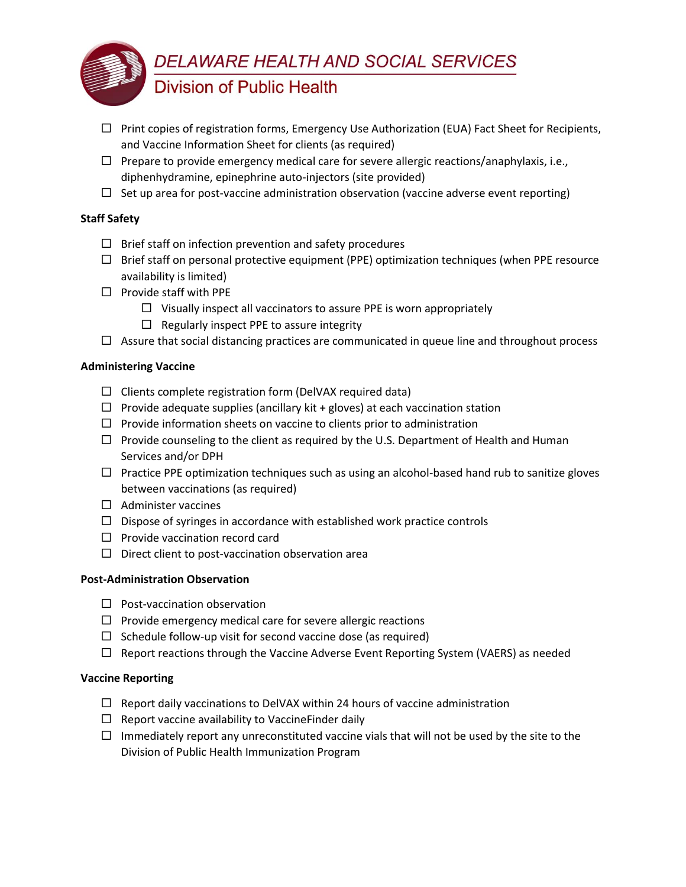

- $\Box$  Print copies of registration forms, Emergency Use Authorization (EUA) Fact Sheet for Recipients, and Vaccine Information Sheet for clients (as required)
- $\Box$  Prepare to provide emergency medical care for severe allergic reactions/anaphylaxis, i.e., diphenhydramine, epinephrine auto-injectors (site provided)
- $\Box$  Set up area for post-vaccine administration observation (vaccine adverse event reporting)

#### **Staff Safety**

- $\Box$  Brief staff on infection prevention and safety procedures
- $\Box$  Brief staff on personal protective equipment (PPE) optimization techniques (when PPE resource availability is limited)
- $\Box$  Provide staff with PPE
	- $\Box$  Visually inspect all vaccinators to assure PPE is worn appropriately
	- $\Box$  Regularly inspect PPE to assure integrity
- $\Box$  Assure that social distancing practices are communicated in queue line and throughout process

#### **Administering Vaccine**

- $\Box$  Clients complete registration form (DelVAX required data)
- $\Box$  Provide adequate supplies (ancillary kit + gloves) at each vaccination station
- $\Box$  Provide information sheets on vaccine to clients prior to administration
- $\Box$  Provide counseling to the client as required by the U.S. Department of Health and Human Services and/or DPH
- $\Box$  Practice PPE optimization techniques such as using an alcohol-based hand rub to sanitize gloves between vaccinations (as required)
- $\Box$  Administer vaccines
- $\Box$  Dispose of syringes in accordance with established work practice controls
- $\Box$  Provide vaccination record card
- $\square$  Direct client to post-vaccination observation area

#### **Post-Administration Observation**

- $\square$  Post-vaccination observation
- $\Box$  Provide emergency medical care for severe allergic reactions
- $\Box$  Schedule follow-up visit for second vaccine dose (as required)
- $\Box$  Report reactions through the Vaccine Adverse Event Reporting System (VAERS) as needed

#### **Vaccine Reporting**

- $\Box$  Report daily vaccinations to DelVAX within 24 hours of vaccine administration
- $\Box$  Report vaccine availability to Vaccine Finder daily
- $\Box$  Immediately report any unreconstituted vaccine vials that will not be used by the site to the Division of Public Health Immunization Program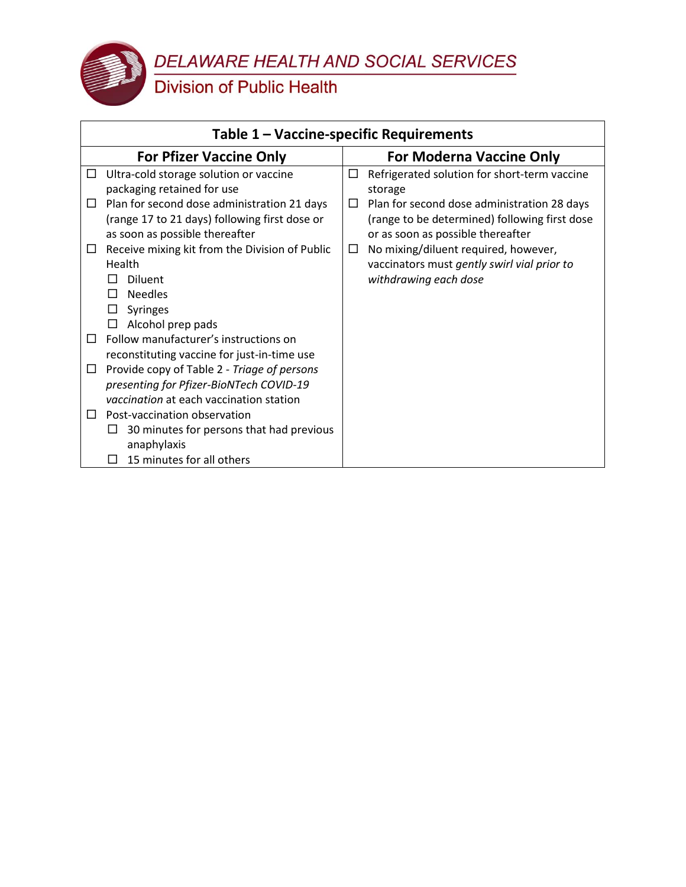DELAWARE HEALTH AND SOCIAL SERVICES<br>Division of Public Health

| Table 1 - Vaccine-specific Requirements                                                                                                                                                                                                                                                                                                                                                                                                                                                                                                               |                                                                                                                                                                                                        |  |  |  |
|-------------------------------------------------------------------------------------------------------------------------------------------------------------------------------------------------------------------------------------------------------------------------------------------------------------------------------------------------------------------------------------------------------------------------------------------------------------------------------------------------------------------------------------------------------|--------------------------------------------------------------------------------------------------------------------------------------------------------------------------------------------------------|--|--|--|
| <b>For Pfizer Vaccine Only</b>                                                                                                                                                                                                                                                                                                                                                                                                                                                                                                                        | <b>For Moderna Vaccine Only</b>                                                                                                                                                                        |  |  |  |
| Ultra-cold storage solution or vaccine<br>$\Box$<br>packaging retained for use<br>Plan for second dose administration 21 days<br>$\Box$<br>(range 17 to 21 days) following first dose or<br>as soon as possible thereafter                                                                                                                                                                                                                                                                                                                            | Refrigerated solution for short-term vaccine<br>□<br>storage<br>Plan for second dose administration 28 days<br>ப<br>(range to be determined) following first dose<br>or as soon as possible thereafter |  |  |  |
| Receive mixing kit from the Division of Public<br>$\Box$<br>Health<br><b>Diluent</b><br><b>Needles</b><br><b>Syringes</b><br>ப<br>Alcohol prep pads<br>Follow manufacturer's instructions on<br>$\Box$<br>reconstituting vaccine for just-in-time use<br>Provide copy of Table 2 - Triage of persons<br>$\Box$<br>presenting for Pfizer-BioNTech COVID-19<br>vaccination at each vaccination station<br>Post-vaccination observation<br>$\Box$<br>30 minutes for persons that had previous<br>ப<br>anaphylaxis<br>15 minutes for all others<br>$\Box$ | No mixing/diluent required, however,<br>$\Box$<br>vaccinators must gently swirl vial prior to<br>withdrawing each dose                                                                                 |  |  |  |